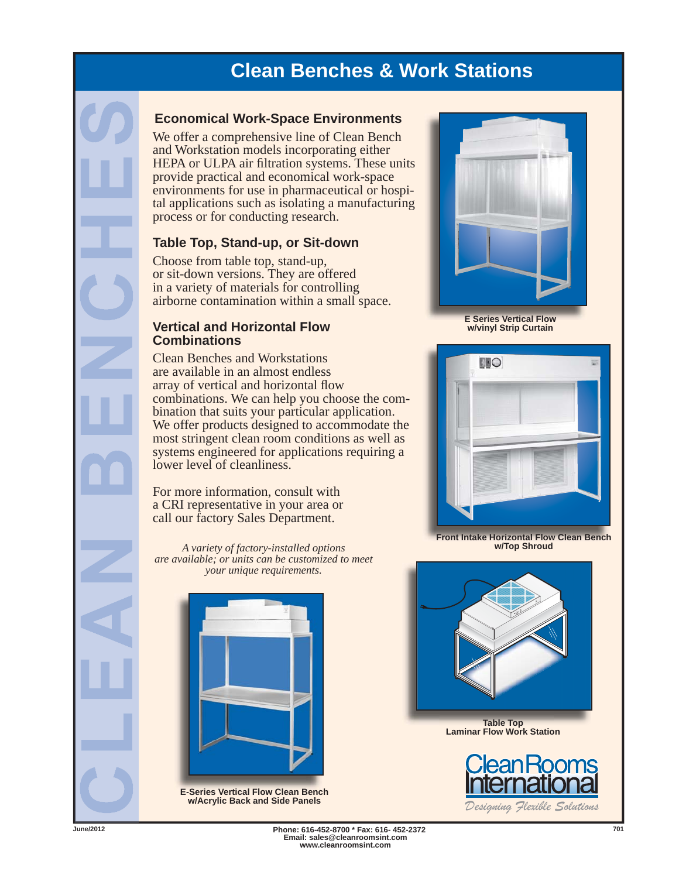## **Clean Benches & Work Stations**

### **Economical Work-Space Environments**

We offer a comprehensive line of Clean Bench and Workstation models incorporating either HEPA or ULPA air filtration systems. These units provide practical and economical work-space environments for use in pharmaceutical or hospital applications such as isolating a manufacturing process or for conducting research.

#### **Table Top, Stand-up, or Sit-down**

Choose from table top, stand-up, or sit-down versions. They are offered in a variety of materials for controlling airborne contamination within a small space.

#### **Vertical and Horizontal Flow Combinations**

Clean Benches and Workstations are available in an almost endless array of vertical and horizontal flow combinations. We can help you choose the combination that suits your particular application. We offer products designed to accommodate the most stringent clean room conditions as well as systems engineered for applications requiring a lower level of cleanliness.

For more information, consult with a CRI representative in your area or call our factory Sales Department.

*A variety of factory-installed options are available; or units can be customized to meet your unique requirements.*



**E-Series Vertical Flow Clean Bench w/Acrylic Back and Side Panels**



**E Series Vertical Flow w/vinyl Strip Curtain**



**Front Intake Horizontal Flow Clean Bench w/Top Shroud**



**Table Top Laminar Flow Work Station**



*Designing Flexible Solutions*